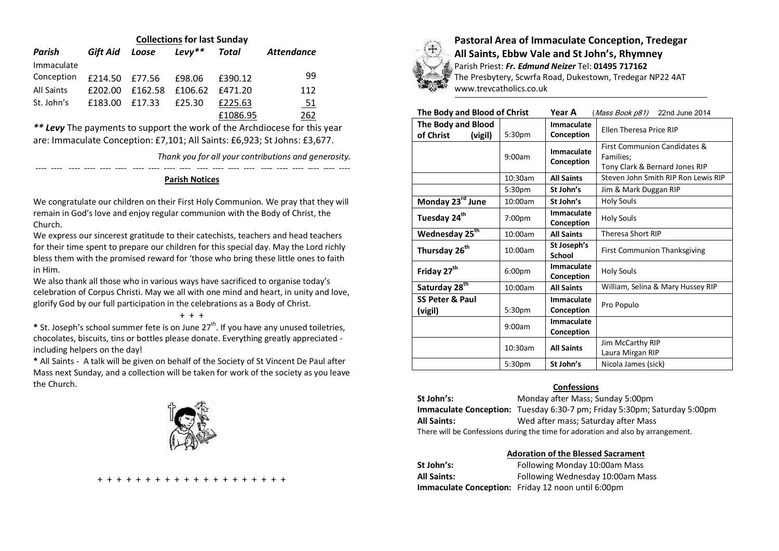| <b>Collections for last Sunday</b> |          |         |          |          |                   |  |  |
|------------------------------------|----------|---------|----------|----------|-------------------|--|--|
| Parish                             | Gift Aid | Loose   | $Levy**$ | Total    | <b>Attendance</b> |  |  |
| Immaculate                         |          |         |          |          |                   |  |  |
| Conception                         | £214.50  | £77.56  | £98.06   | £390.12  | 99                |  |  |
| <b>All Saints</b>                  | £202.00  | £162.58 | £106.62  | £471.20  | 112               |  |  |
| St. John's                         | £183.00  | f17.33  | £25.30   | £225.63  | <u>_51</u>        |  |  |
|                                    |          |         |          | £1086.95 | 262               |  |  |

*\*\* Levy* The payments to support the work of the Archdiocese for this year are: Immaculate Conception: £7,101; All Saints: £6,923; St Johns: £3,677.

*Thank you for all your contributions and generosity.*

## ---- ---- ---- ---- ---- ---- ---- ---- ---- ---- ---- ---- ---- ---- ---- ---- ---- ---- ---- ---- **Parish Notices**

We congratulate our children on their First Holy Communion. We pray that they will remain in God's love and enjoy regular communion with the Body of Christ, the Church.

We express our sincerest gratitude to their catechists, teachers and head teachers for their time spent to prepare our children for this special day. May the Lord richly bless them with the promised reward for 'those who bring these little ones to faith in Him.

We also thank all those who in various ways have sacrificed to organise today's celebration of Corpus Christi. May we all with one mind and heart, in unity and love, glorify God by our full participation in the celebrations as a Body of Christ.

+ + +

\* St. Joseph's school summer fete is on June 27<sup>th</sup>. If you have any unused toiletries, chocolates, biscuits, tins or bottles please donate. Everything greatly appreciated including helpers on the day!

**\*** All Saints - A talk will be given on behalf of the Society of St Vincent De Paul after Mass next Sunday, and a collection will be taken for work of the society as you leave the Church.







**Pastoral Area of Immaculate Conception, Tredegar All Saints, Ebbw Vale and St John's, Rhymney**

Parish Priest: *Fr. Edmund Neizer* Tel: **01495 717162** The Presbytery, Scwrfa Road, Dukestown, Tredegar NP22 4AT www.trevcatholics.co.uk

| The Body and Blood of Christ                      |                    | Year A                   | (Mass Book p81)<br>22nd June 2014                                           |  |
|---------------------------------------------------|--------------------|--------------------------|-----------------------------------------------------------------------------|--|
| <b>The Body and Blood</b><br>of Christ<br>(vigil) | 5:30 <sub>pm</sub> | Immaculate<br>Conception | <b>Ellen Theresa Price RIP</b>                                              |  |
|                                                   | 9:00am             | Immaculate<br>Conception | First Communion Candidates &<br>Families;<br>Tony Clark & Bernard Jones RIP |  |
|                                                   | 10:30am            | <b>All Saints</b>        | Steven John Smith RIP Ron Lewis RIP                                         |  |
|                                                   | 5:30pm             | St John's                | Jim & Mark Duggan RIP                                                       |  |
| Monday 23rd June                                  | 10:00am            | St John's                | <b>Holy Souls</b>                                                           |  |
| Tuesday 24 <sup>th</sup>                          | 7:00pm             | Immaculate<br>Conception | <b>Holy Souls</b>                                                           |  |
| Wednesday 25 <sup>th</sup>                        | 10:00am            | <b>All Saints</b>        | Theresa Short RIP                                                           |  |
| Thursday 26 <sup>th</sup>                         | 10:00am            | St Joseph's<br>School    | First Communion Thanksgiving                                                |  |
| Friday 27 <sup>th</sup>                           | 6:00 <sub>pm</sub> | Immaculate<br>Conception | <b>Holy Souls</b>                                                           |  |
| Saturday 28 <sup>th</sup>                         | 10:00am            | <b>All Saints</b>        | William, Selina & Mary Hussey RIP                                           |  |
| SS Peter & Paul<br>(vigil)                        | 5:30pm             | Immaculate<br>Conception | Pro Populo                                                                  |  |
|                                                   | 9:00am             | Immaculate<br>Conception |                                                                             |  |
|                                                   | $10:30$ am         | <b>All Saints</b>        | Jim McCarthy RIP<br>Laura Mirgan RIP                                        |  |
|                                                   | 5:30 <sub>pm</sub> | St John's                | Nicola James (sick)                                                         |  |

# **Confessions**

**St John's:** Monday after Mass; Sunday 5:00pm **Immaculate Conception:** Tuesday 6:30-7 pm; Friday 5:30pm; Saturday 5:00pm **All Saints:** Wed after mass; Saturday after Mass There will be Confessions during the time for adoration and also by arrangement.

## **Adoration of the Blessed Sacrament**

| St John's:         | Following Monday 10:00am Mass                             |
|--------------------|-----------------------------------------------------------|
| <b>All Saints:</b> | Following Wednesday 10:00am Mass                          |
|                    | <b>Immaculate Conception:</b> Friday 12 noon until 6:00pm |